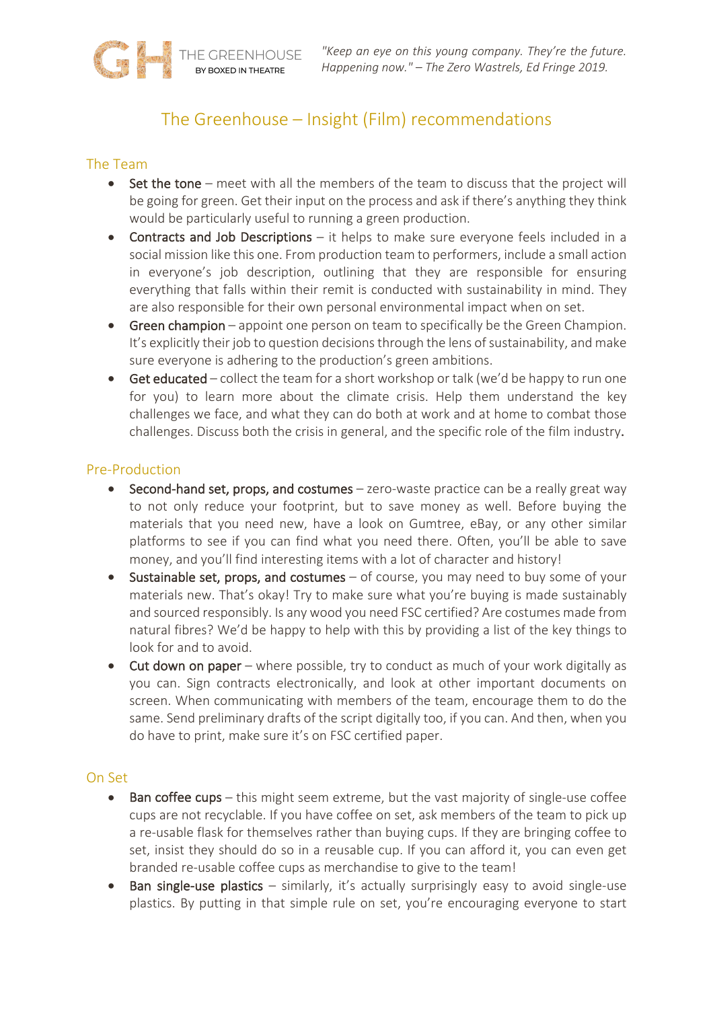# The Greenhouse – Insight (Film) recommendations

## The Team

- Set the tone meet with all the members of the team to discuss that the project will be going for green. Get their input on the process and ask if there's anything they think would be particularly useful to running a green production.
- Contracts and Job Descriptions it helps to make sure everyone feels included in a social mission like this one. From production team to performers, include a small action in everyone's job description, outlining that they are responsible for ensuring everything that falls within their remit is conducted with sustainability in mind. They are also responsible for their own personal environmental impact when on set.
- Green champion appoint one person on team to specifically be the Green Champion. It's explicitly their job to question decisions through the lens of sustainability, and make sure everyone is adhering to the production's green ambitions.
- Get educated collect the team for a short workshop or talk (we'd be happy to run one for you) to learn more about the climate crisis. Help them understand the key challenges we face, and what they can do both at work and at home to combat those challenges. Discuss both the crisis in general, and the specific role of the film industry.

### Pre-Production

- Second-hand set, props, and costumes zero-waste practice can be a really great way to not only reduce your footprint, but to save money as well. Before buying the materials that you need new, have a look on Gumtree, eBay, or any other similar platforms to see if you can find what you need there. Often, you'll be able to save money, and you'll find interesting items with a lot of character and history!
- Sustainable set, props, and costumes of course, you may need to buy some of your materials new. That's okay! Try to make sure what you're buying is made sustainably and sourced responsibly. Is any wood you need FSC certified? Are costumes made from natural fibres? We'd be happy to help with this by providing a list of the key things to look for and to avoid.
- Cut down on paper where possible, try to conduct as much of your work digitally as you can. Sign contracts electronically, and look at other important documents on screen. When communicating with members of the team, encourage them to do the same. Send preliminary drafts of the script digitally too, if you can. And then, when you do have to print, make sure it's on FSC certified paper.

#### On Set

- Ban coffee cups this might seem extreme, but the vast majority of single-use coffee cups are not recyclable. If you have coffee on set, ask members of the team to pick up a re-usable flask for themselves rather than buying cups. If they are bringing coffee to set, insist they should do so in a reusable cup. If you can afford it, you can even get branded re-usable coffee cups as merchandise to give to the team!
- Ban single-use plastics similarly, it's actually surprisingly easy to avoid single-use plastics. By putting in that simple rule on set, you're encouraging everyone to start